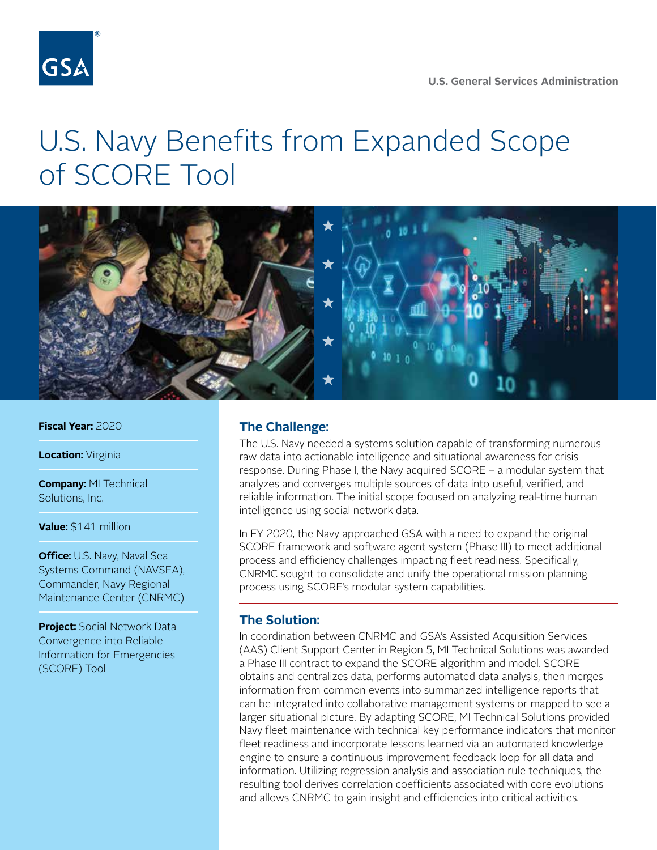

## U.S. Navy Benefits from Expanded Scope of SCORE Tool



**Fiscal Year:** 2020

**Location: Virginia** 

**Company:** MI Technical Solutions, Inc.

**Value:** \$141 million

**Office:** U.S. Navy, Naval Sea Systems Command (NAVSEA), Commander, Navy Regional Maintenance Center (CNRMC)

**Project:** Social Network Data Convergence into Reliable Information for Emergencies (SCORE) Tool

## **The Challenge:**

The U.S. Navy needed a systems solution capable of transforming numerous raw data into actionable intelligence and situational awareness for crisis response. During Phase I, the Navy acquired SCORE – a modular system that analyzes and converges multiple sources of data into useful, verified, and reliable information. The initial scope focused on analyzing real-time human intelligence using social network data.

In FY 2020, the Navy approached GSA with a need to expand the original SCORE framework and software agent system (Phase III) to meet additional process and efficiency challenges impacting fleet readiness. Specifically, CNRMC sought to consolidate and unify the operational mission planning process using SCORE's modular system capabilities.

## **The Solution:**

In coordination between CNRMC and GSA's Assisted Acquisition Services (AAS) Client Support Center in Region 5, MI Technical Solutions was awarded a Phase III contract to expand the SCORE algorithm and model. SCORE obtains and centralizes data, performs automated data analysis, then merges information from common events into summarized intelligence reports that can be integrated into collaborative management systems or mapped to see a larger situational picture. By adapting SCORE, MI Technical Solutions provided Navy fleet maintenance with technical key performance indicators that monitor fleet readiness and incorporate lessons learned via an automated knowledge engine to ensure a continuous improvement feedback loop for all data and information. Utilizing regression analysis and association rule techniques, the resulting tool derives correlation coefficients associated with core evolutions and allows CNRMC to gain insight and efficiencies into critical activities.